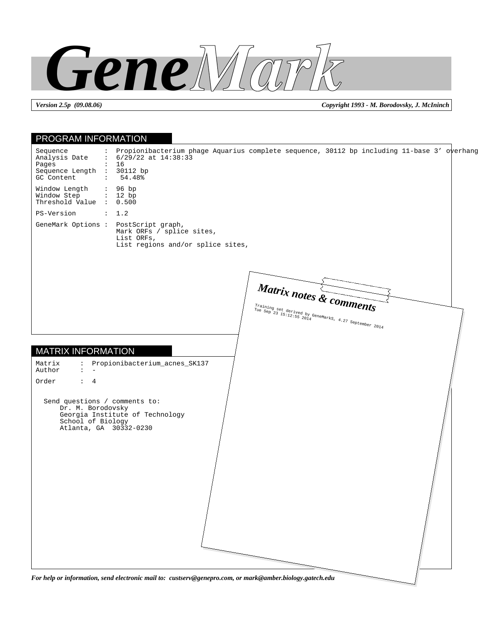

*Version 2.5p (09.08.06) Copyright 1993 - M. Borodovsky, J. McIninch*

## PROGRAM INFORMATION MATRIX INFORMATION Sequence : Propionibacterium phage Aquarius complete sequence, 30112 bp including 11-base 3' overhang<br>Analysis Date : 6/29/22 at 14:38:33  $: 6/29/22$  at  $14:38:33$ <br> $: 16$ Pages Sequence Length : 30112 bp<br>GC Content : 54.48% GC Content Window Length : 96 bp<br>Window Step : 12 bp Window Step Threshold Value : 0.500 PS-Version : 1.2 GeneMark Options : PostScript graph, Mark ORFs / splice sites, List ORFs, List regions and/or splice sites, Matrix : Propionibacterium\_acnes\_SK137 Author Order : 4 Send questions / comments to: Dr. M. Borodovsky Georgia Institute of Technology School of Biology Atlanta, GA 30332-0230 *Matrix notes & comments* Training set derived by GeneMarks, 4.27 September 2014

*For help or information, send electronic mail to: custserv@genepro.com, or mark@amber.biology.gatech.edu*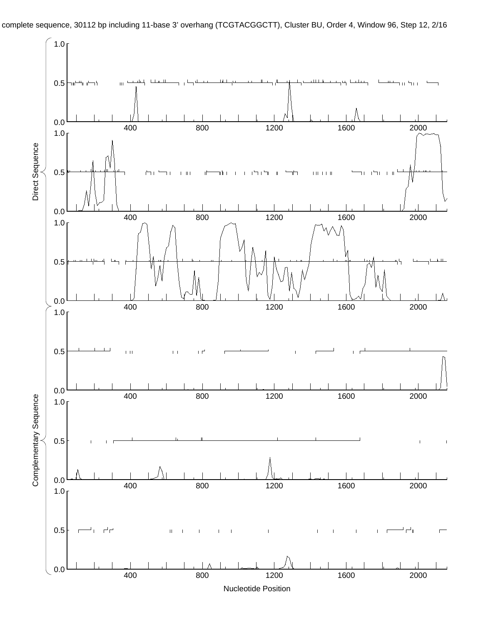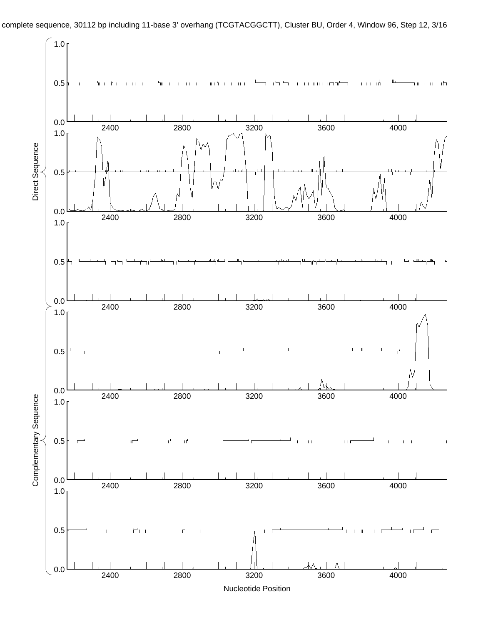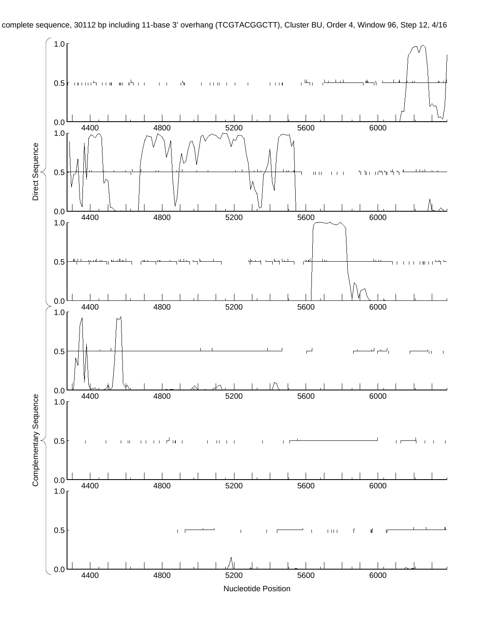

complete sequence, 30112 bp including 11-base 3' overhang (TCGTACGGCTT), Cluster BU, Order 4, Window 96, Step 12, 4/16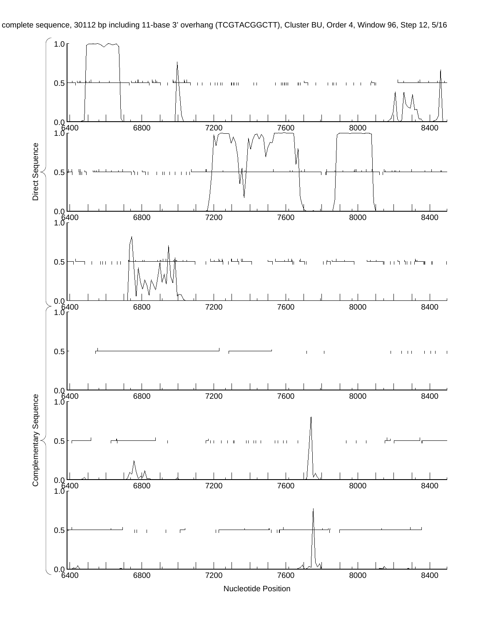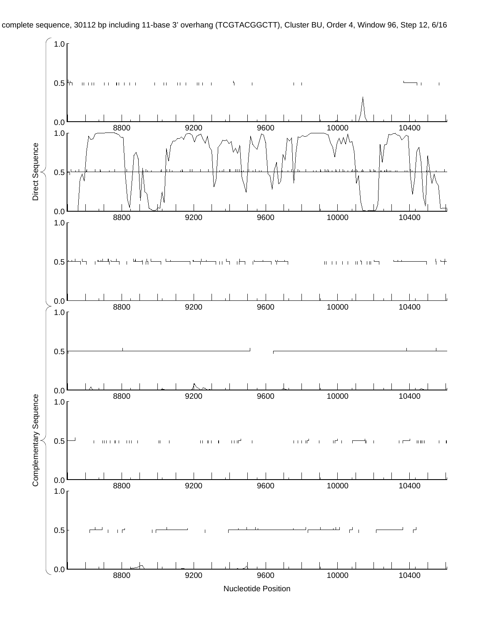

complete sequence, 30112 bp including 11-base 3' overhang (TCGTACGGCTT), Cluster BU, Order 4, Window 96, Step 12, 6/16

Nucleotide Position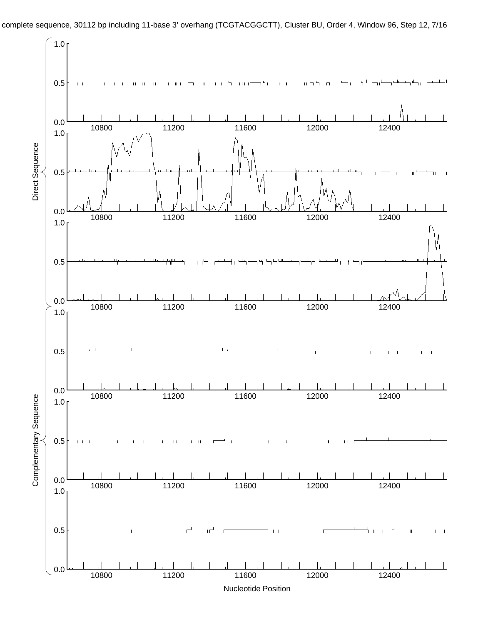

complete sequence, 30112 bp including 11-base 3' overhang (TCGTACGGCTT), Cluster BU, Order 4, Window 96, Step 12, 7/16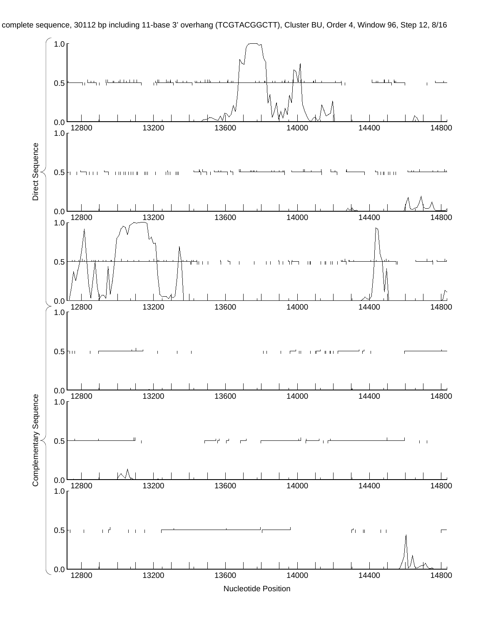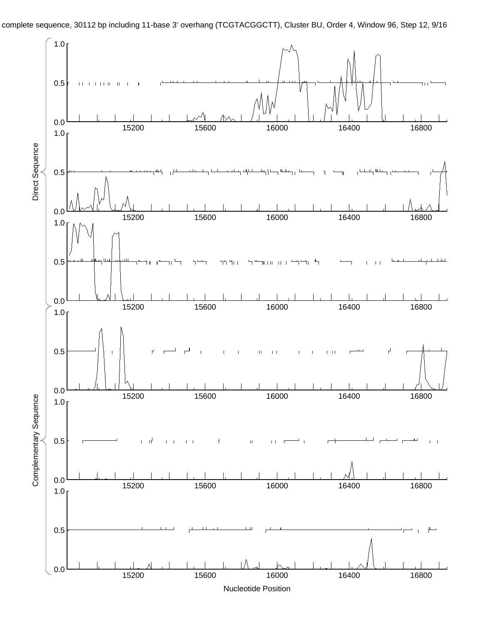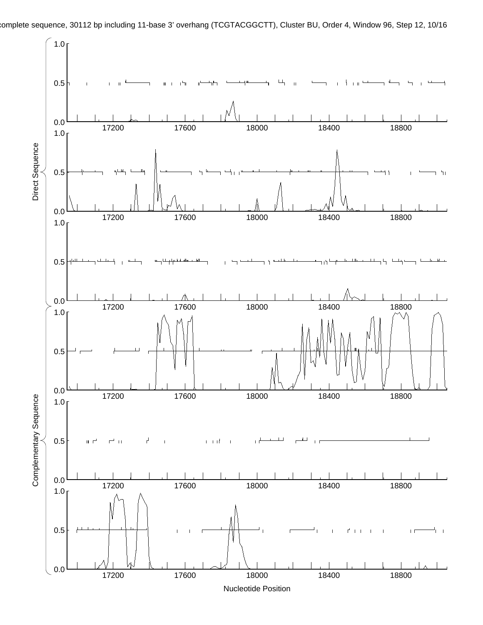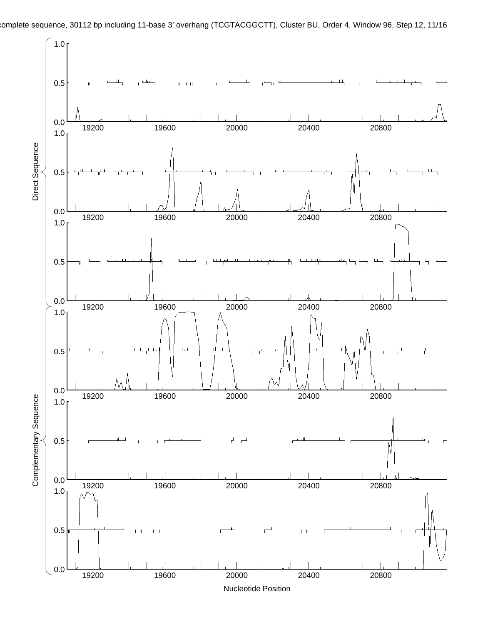

Nucleotide Position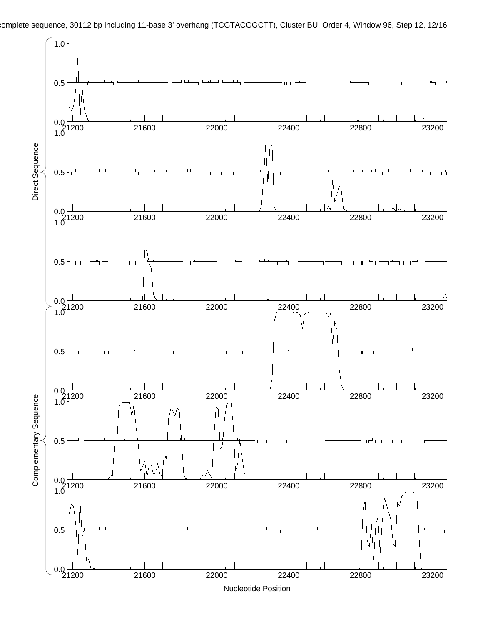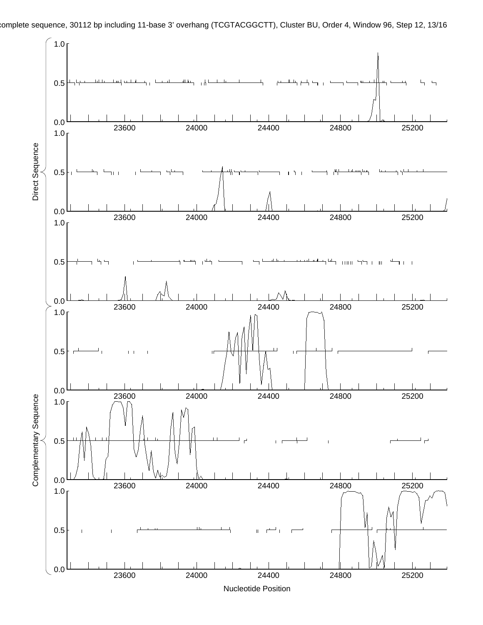

complete sequence, 30112 bp including 11-base 3' overhang (TCGTACGGCTT), Cluster BU, Order 4, Window 96, Step 12, 13/16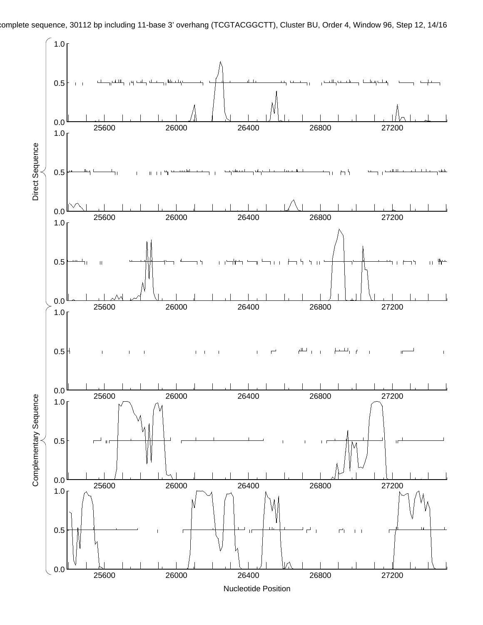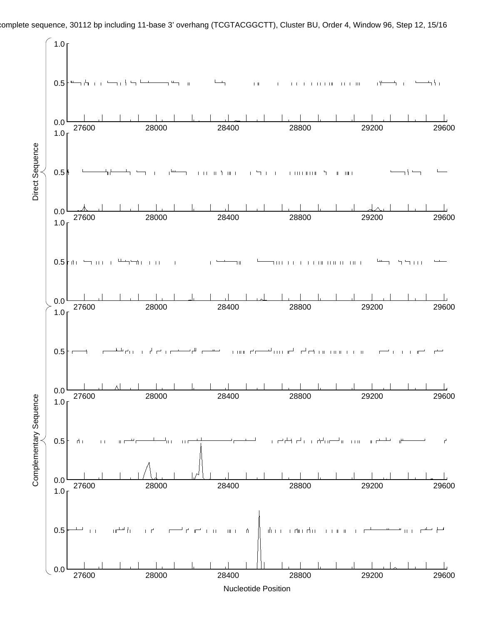

complete sequence, 30112 bp including 11-base 3' overhang (TCGTACGGCTT), Cluster BU, Order 4, Window 96, Step 12, 15/16

Nucleotide Position